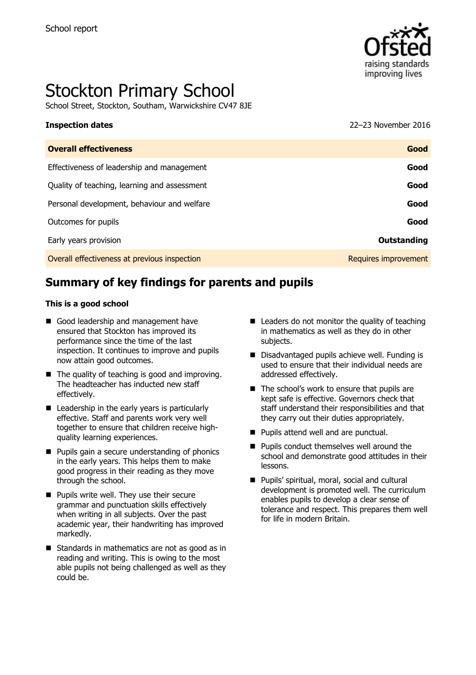

# Stockton Primary School

School Street, Stockton, Southam, Warwickshire CV47 8JE

**Inspection dates** 22–23 November 2016

| Good                 |
|----------------------|
| Good                 |
| Good                 |
| Good                 |
| Good                 |
| Outstanding          |
| Requires improvement |
|                      |

# **Summary of key findings for parents and pupils**

#### **This is a good school**

- Good leadership and management have ensured that Stockton has improved its performance since the time of the last inspection. It continues to improve and pupils now attain good outcomes.
- $\blacksquare$  The quality of teaching is good and improving. The headteacher has inducted new staff effectively.
- Leadership in the early years is particularly effective. Staff and parents work very well together to ensure that children receive highquality learning experiences.
- **Pupils gain a secure understanding of phonics** in the early years. This helps them to make good progress in their reading as they move through the school.
- **Pupils write well. They use their secure** grammar and punctuation skills effectively when writing in all subjects. Over the past academic year, their handwriting has improved markedly.
- Standards in mathematics are not as good as in reading and writing. This is owing to the most able pupils not being challenged as well as they could be.
- $\blacksquare$  Leaders do not monitor the quality of teaching in mathematics as well as they do in other subjects.
- Disadvantaged pupils achieve well. Funding is used to ensure that their individual needs are addressed effectively.
- The school's work to ensure that pupils are kept safe is effective. Governors check that staff understand their responsibilities and that they carry out their duties appropriately.
- **Pupils attend well and are punctual.**
- **Pupils conduct themselves well around the** school and demonstrate good attitudes in their lessons.
- Pupils' spiritual, moral, social and cultural development is promoted well. The curriculum enables pupils to develop a clear sense of tolerance and respect. This prepares them well for life in modern Britain.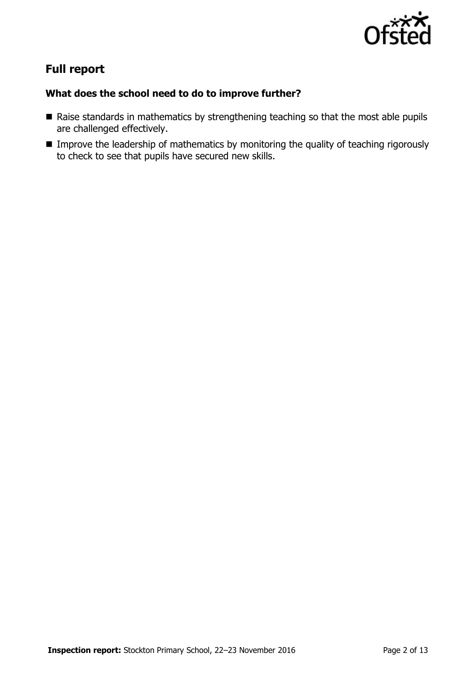

# **Full report**

### **What does the school need to do to improve further?**

- Raise standards in mathematics by strengthening teaching so that the most able pupils are challenged effectively.
- **IMPROVE THE leadership of mathematics by monitoring the quality of teaching rigorously** to check to see that pupils have secured new skills.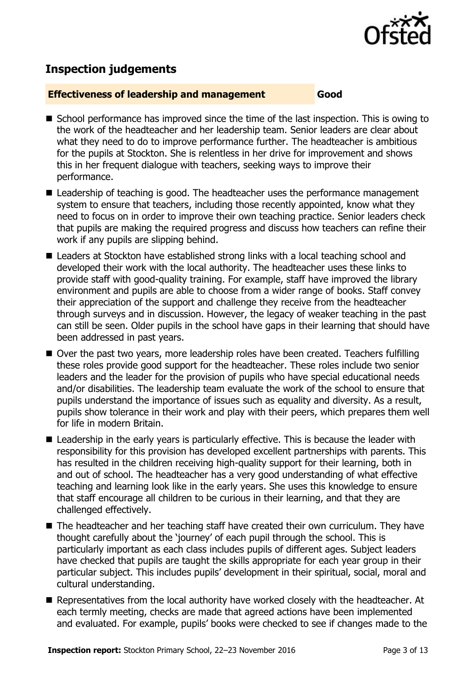

## **Inspection judgements**

#### **Effectiveness of leadership and management Good**

- School performance has improved since the time of the last inspection. This is owing to the work of the headteacher and her leadership team. Senior leaders are clear about what they need to do to improve performance further. The headteacher is ambitious for the pupils at Stockton. She is relentless in her drive for improvement and shows this in her frequent dialogue with teachers, seeking ways to improve their performance.
- Leadership of teaching is good. The headteacher uses the performance management system to ensure that teachers, including those recently appointed, know what they need to focus on in order to improve their own teaching practice. Senior leaders check that pupils are making the required progress and discuss how teachers can refine their work if any pupils are slipping behind.
- Leaders at Stockton have established strong links with a local teaching school and developed their work with the local authority. The headteacher uses these links to provide staff with good-quality training. For example, staff have improved the library environment and pupils are able to choose from a wider range of books. Staff convey their appreciation of the support and challenge they receive from the headteacher through surveys and in discussion. However, the legacy of weaker teaching in the past can still be seen. Older pupils in the school have gaps in their learning that should have been addressed in past years.
- Over the past two years, more leadership roles have been created. Teachers fulfilling these roles provide good support for the headteacher. These roles include two senior leaders and the leader for the provision of pupils who have special educational needs and/or disabilities. The leadership team evaluate the work of the school to ensure that pupils understand the importance of issues such as equality and diversity. As a result, pupils show tolerance in their work and play with their peers, which prepares them well for life in modern Britain.
- **E** Leadership in the early years is particularly effective. This is because the leader with responsibility for this provision has developed excellent partnerships with parents. This has resulted in the children receiving high-quality support for their learning, both in and out of school. The headteacher has a very good understanding of what effective teaching and learning look like in the early years. She uses this knowledge to ensure that staff encourage all children to be curious in their learning, and that they are challenged effectively.
- The headteacher and her teaching staff have created their own curriculum. They have thought carefully about the 'journey' of each pupil through the school. This is particularly important as each class includes pupils of different ages. Subject leaders have checked that pupils are taught the skills appropriate for each year group in their particular subject. This includes pupils' development in their spiritual, social, moral and cultural understanding.
- Representatives from the local authority have worked closely with the headteacher. At each termly meeting, checks are made that agreed actions have been implemented and evaluated. For example, pupils' books were checked to see if changes made to the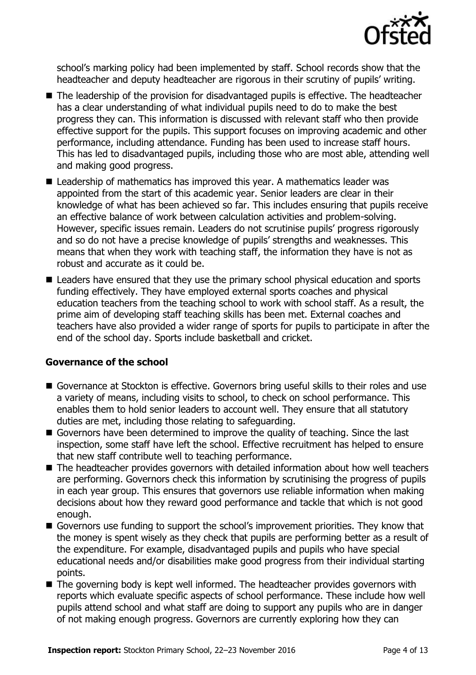

school's marking policy had been implemented by staff. School records show that the headteacher and deputy headteacher are rigorous in their scrutiny of pupils' writing.

- The leadership of the provision for disadvantaged pupils is effective. The headteacher has a clear understanding of what individual pupils need to do to make the best progress they can. This information is discussed with relevant staff who then provide effective support for the pupils. This support focuses on improving academic and other performance, including attendance. Funding has been used to increase staff hours. This has led to disadvantaged pupils, including those who are most able, attending well and making good progress.
- Leadership of mathematics has improved this year. A mathematics leader was appointed from the start of this academic year. Senior leaders are clear in their knowledge of what has been achieved so far. This includes ensuring that pupils receive an effective balance of work between calculation activities and problem-solving. However, specific issues remain. Leaders do not scrutinise pupils' progress rigorously and so do not have a precise knowledge of pupils' strengths and weaknesses. This means that when they work with teaching staff, the information they have is not as robust and accurate as it could be.
- Leaders have ensured that they use the primary school physical education and sports funding effectively. They have employed external sports coaches and physical education teachers from the teaching school to work with school staff. As a result, the prime aim of developing staff teaching skills has been met. External coaches and teachers have also provided a wider range of sports for pupils to participate in after the end of the school day. Sports include basketball and cricket.

### **Governance of the school**

- Governance at Stockton is effective. Governors bring useful skills to their roles and use a variety of means, including visits to school, to check on school performance. This enables them to hold senior leaders to account well. They ensure that all statutory duties are met, including those relating to safeguarding.
- Governors have been determined to improve the quality of teaching. Since the last inspection, some staff have left the school. Effective recruitment has helped to ensure that new staff contribute well to teaching performance.
- The headteacher provides governors with detailed information about how well teachers are performing. Governors check this information by scrutinising the progress of pupils in each year group. This ensures that governors use reliable information when making decisions about how they reward good performance and tackle that which is not good enough.
- Governors use funding to support the school's improvement priorities. They know that the money is spent wisely as they check that pupils are performing better as a result of the expenditure. For example, disadvantaged pupils and pupils who have special educational needs and/or disabilities make good progress from their individual starting points.
- The governing body is kept well informed. The headteacher provides governors with reports which evaluate specific aspects of school performance. These include how well pupils attend school and what staff are doing to support any pupils who are in danger of not making enough progress. Governors are currently exploring how they can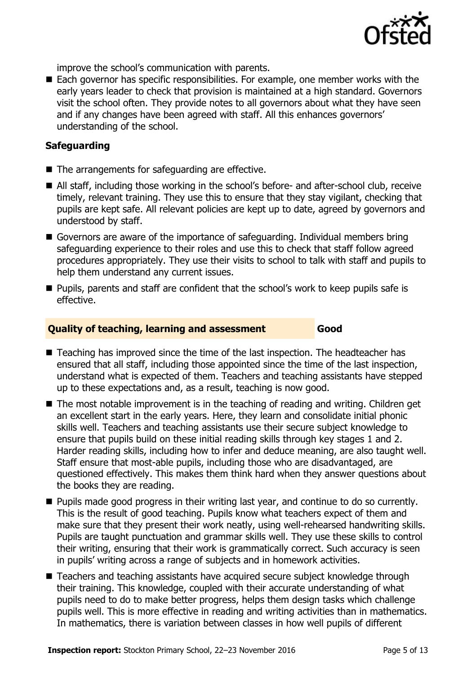

improve the school's communication with parents.

■ Each governor has specific responsibilities. For example, one member works with the early years leader to check that provision is maintained at a high standard. Governors visit the school often. They provide notes to all governors about what they have seen and if any changes have been agreed with staff. All this enhances governors' understanding of the school.

#### **Safeguarding**

- The arrangements for safeguarding are effective.
- All staff, including those working in the school's before- and after-school club, receive timely, relevant training. They use this to ensure that they stay vigilant, checking that pupils are kept safe. All relevant policies are kept up to date, agreed by governors and understood by staff.
- Governors are aware of the importance of safeguarding. Individual members bring safeguarding experience to their roles and use this to check that staff follow agreed procedures appropriately. They use their visits to school to talk with staff and pupils to help them understand any current issues.
- **Pupils, parents and staff are confident that the school's work to keep pupils safe is** effective.

#### **Quality of teaching, learning and assessment Good**

- Teaching has improved since the time of the last inspection. The headteacher has ensured that all staff, including those appointed since the time of the last inspection, understand what is expected of them. Teachers and teaching assistants have stepped up to these expectations and, as a result, teaching is now good.
- The most notable improvement is in the teaching of reading and writing. Children get an excellent start in the early years. Here, they learn and consolidate initial phonic skills well. Teachers and teaching assistants use their secure subject knowledge to ensure that pupils build on these initial reading skills through key stages 1 and 2. Harder reading skills, including how to infer and deduce meaning, are also taught well. Staff ensure that most-able pupils, including those who are disadvantaged, are questioned effectively. This makes them think hard when they answer questions about the books they are reading.
- **Pupils made good progress in their writing last year, and continue to do so currently.** This is the result of good teaching. Pupils know what teachers expect of them and make sure that they present their work neatly, using well-rehearsed handwriting skills. Pupils are taught punctuation and grammar skills well. They use these skills to control their writing, ensuring that their work is grammatically correct. Such accuracy is seen in pupils' writing across a range of subjects and in homework activities.
- Teachers and teaching assistants have acquired secure subject knowledge through their training. This knowledge, coupled with their accurate understanding of what pupils need to do to make better progress, helps them design tasks which challenge pupils well. This is more effective in reading and writing activities than in mathematics. In mathematics, there is variation between classes in how well pupils of different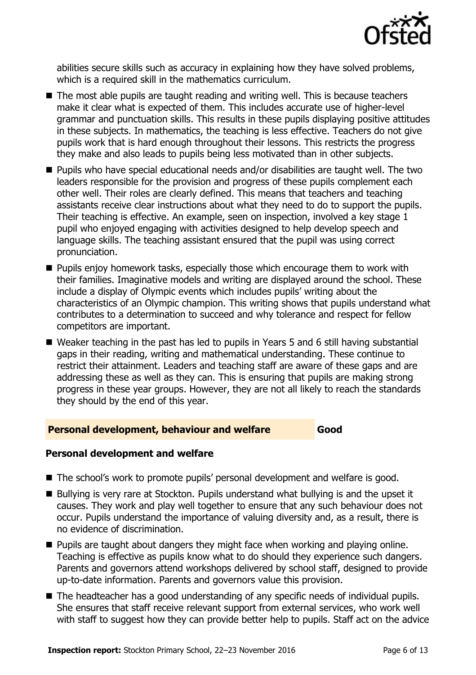

abilities secure skills such as accuracy in explaining how they have solved problems, which is a required skill in the mathematics curriculum.

- The most able pupils are taught reading and writing well. This is because teachers make it clear what is expected of them. This includes accurate use of higher-level grammar and punctuation skills. This results in these pupils displaying positive attitudes in these subjects. In mathematics, the teaching is less effective. Teachers do not give pupils work that is hard enough throughout their lessons. This restricts the progress they make and also leads to pupils being less motivated than in other subjects.
- Pupils who have special educational needs and/or disabilities are taught well. The two leaders responsible for the provision and progress of these pupils complement each other well. Their roles are clearly defined. This means that teachers and teaching assistants receive clear instructions about what they need to do to support the pupils. Their teaching is effective. An example, seen on inspection, involved a key stage 1 pupil who enjoyed engaging with activities designed to help develop speech and language skills. The teaching assistant ensured that the pupil was using correct pronunciation.
- **Pupils enjoy homework tasks, especially those which encourage them to work with** their families. Imaginative models and writing are displayed around the school. These include a display of Olympic events which includes pupils' writing about the characteristics of an Olympic champion. This writing shows that pupils understand what contributes to a determination to succeed and why tolerance and respect for fellow competitors are important.
- Weaker teaching in the past has led to pupils in Years 5 and 6 still having substantial gaps in their reading, writing and mathematical understanding. These continue to restrict their attainment. Leaders and teaching staff are aware of these gaps and are addressing these as well as they can. This is ensuring that pupils are making strong progress in these year groups. However, they are not all likely to reach the standards they should by the end of this year.

#### **Personal development, behaviour and welfare Good**

#### **Personal development and welfare**

- The school's work to promote pupils' personal development and welfare is good.
- Bullying is very rare at Stockton. Pupils understand what bullying is and the upset it causes. They work and play well together to ensure that any such behaviour does not occur. Pupils understand the importance of valuing diversity and, as a result, there is no evidence of discrimination.
- **Pupils are taught about dangers they might face when working and playing online.** Teaching is effective as pupils know what to do should they experience such dangers. Parents and governors attend workshops delivered by school staff, designed to provide up-to-date information. Parents and governors value this provision.
- The headteacher has a good understanding of any specific needs of individual pupils. She ensures that staff receive relevant support from external services, who work well with staff to suggest how they can provide better help to pupils. Staff act on the advice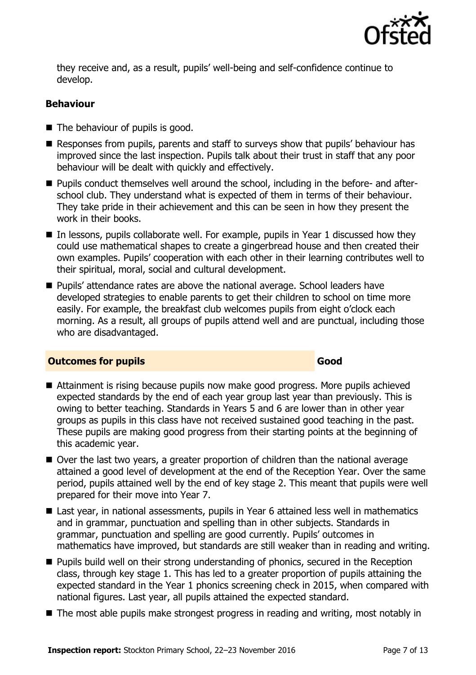

they receive and, as a result, pupils' well-being and self-confidence continue to develop.

#### **Behaviour**

- $\blacksquare$  The behaviour of pupils is good.
- Responses from pupils, parents and staff to surveys show that pupils' behaviour has improved since the last inspection. Pupils talk about their trust in staff that any poor behaviour will be dealt with quickly and effectively.
- Pupils conduct themselves well around the school, including in the before- and afterschool club. They understand what is expected of them in terms of their behaviour. They take pride in their achievement and this can be seen in how they present the work in their books.
- $\blacksquare$  In lessons, pupils collaborate well. For example, pupils in Year 1 discussed how they could use mathematical shapes to create a gingerbread house and then created their own examples. Pupils' cooperation with each other in their learning contributes well to their spiritual, moral, social and cultural development.
- Pupils' attendance rates are above the national average. School leaders have developed strategies to enable parents to get their children to school on time more easily. For example, the breakfast club welcomes pupils from eight o'clock each morning. As a result, all groups of pupils attend well and are punctual, including those who are disadvantaged.

#### **Outcomes for pupils Good**

- Attainment is rising because pupils now make good progress. More pupils achieved expected standards by the end of each year group last year than previously. This is owing to better teaching. Standards in Years 5 and 6 are lower than in other year groups as pupils in this class have not received sustained good teaching in the past. These pupils are making good progress from their starting points at the beginning of this academic year.
- Over the last two years, a greater proportion of children than the national average attained a good level of development at the end of the Reception Year. Over the same period, pupils attained well by the end of key stage 2. This meant that pupils were well prepared for their move into Year 7.
- Last year, in national assessments, pupils in Year 6 attained less well in mathematics and in grammar, punctuation and spelling than in other subjects. Standards in grammar, punctuation and spelling are good currently. Pupils' outcomes in mathematics have improved, but standards are still weaker than in reading and writing.
- **Pupils build well on their strong understanding of phonics, secured in the Reception** class, through key stage 1. This has led to a greater proportion of pupils attaining the expected standard in the Year 1 phonics screening check in 2015, when compared with national figures. Last year, all pupils attained the expected standard.
- The most able pupils make strongest progress in reading and writing, most notably in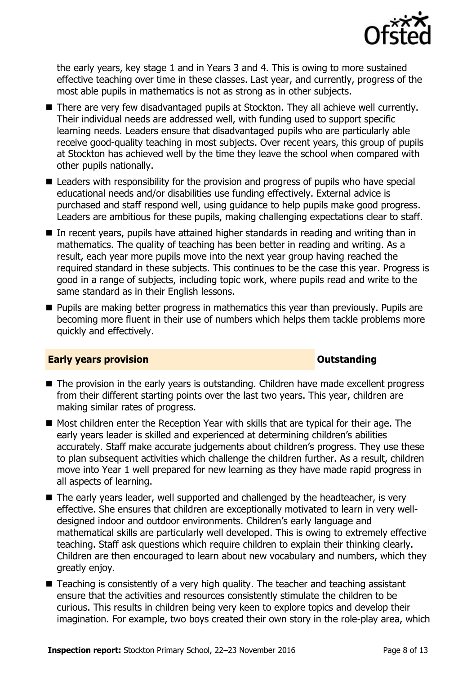

the early years, key stage 1 and in Years 3 and 4. This is owing to more sustained effective teaching over time in these classes. Last year, and currently, progress of the most able pupils in mathematics is not as strong as in other subjects.

- There are very few disadvantaged pupils at Stockton. They all achieve well currently. Their individual needs are addressed well, with funding used to support specific learning needs. Leaders ensure that disadvantaged pupils who are particularly able receive good-quality teaching in most subjects. Over recent years, this group of pupils at Stockton has achieved well by the time they leave the school when compared with other pupils nationally.
- Leaders with responsibility for the provision and progress of pupils who have special educational needs and/or disabilities use funding effectively. External advice is purchased and staff respond well, using guidance to help pupils make good progress. Leaders are ambitious for these pupils, making challenging expectations clear to staff.
- In recent years, pupils have attained higher standards in reading and writing than in mathematics. The quality of teaching has been better in reading and writing. As a result, each year more pupils move into the next year group having reached the required standard in these subjects. This continues to be the case this year. Progress is good in a range of subjects, including topic work, where pupils read and write to the same standard as in their English lessons.
- **Pupils are making better progress in mathematics this year than previously. Pupils are** becoming more fluent in their use of numbers which helps them tackle problems more quickly and effectively.

#### **Early years provision CONSTANDING TO A RESEARCH THE CONSTANDING TO A RESEARCH THE CONSTANDING TO A RESEARCH THE CONSTANDING TO A RESEARCH THE CONSTANDING TO A RESEARCH THE CONSTANTING TO A RESEARCH THE CONSTANTING OF TH**

- The provision in the early years is outstanding. Children have made excellent progress from their different starting points over the last two years. This year, children are making similar rates of progress.
- Most children enter the Reception Year with skills that are typical for their age. The early years leader is skilled and experienced at determining children's abilities accurately. Staff make accurate judgements about children's progress. They use these to plan subsequent activities which challenge the children further. As a result, children move into Year 1 well prepared for new learning as they have made rapid progress in all aspects of learning.
- The early years leader, well supported and challenged by the headteacher, is very effective. She ensures that children are exceptionally motivated to learn in very welldesigned indoor and outdoor environments. Children's early language and mathematical skills are particularly well developed. This is owing to extremely effective teaching. Staff ask questions which require children to explain their thinking clearly. Children are then encouraged to learn about new vocabulary and numbers, which they greatly enjoy.
- Teaching is consistently of a very high quality. The teacher and teaching assistant ensure that the activities and resources consistently stimulate the children to be curious. This results in children being very keen to explore topics and develop their imagination. For example, two boys created their own story in the role-play area, which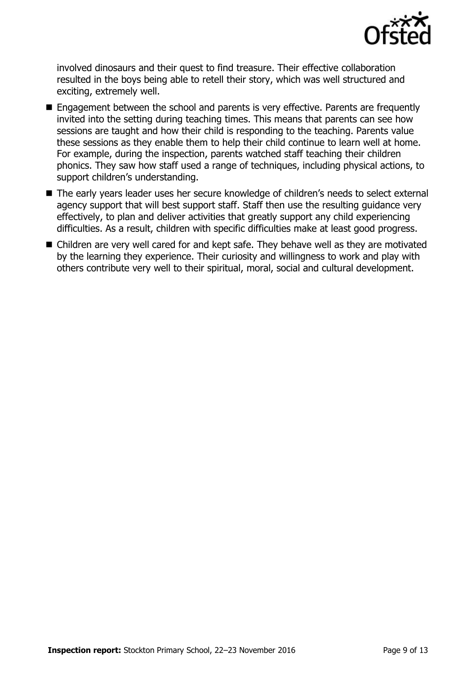

involved dinosaurs and their quest to find treasure. Their effective collaboration resulted in the boys being able to retell their story, which was well structured and exciting, extremely well.

- Engagement between the school and parents is very effective. Parents are frequently invited into the setting during teaching times. This means that parents can see how sessions are taught and how their child is responding to the teaching. Parents value these sessions as they enable them to help their child continue to learn well at home. For example, during the inspection, parents watched staff teaching their children phonics. They saw how staff used a range of techniques, including physical actions, to support children's understanding.
- The early years leader uses her secure knowledge of children's needs to select external agency support that will best support staff. Staff then use the resulting guidance very effectively, to plan and deliver activities that greatly support any child experiencing difficulties. As a result, children with specific difficulties make at least good progress.
- Children are very well cared for and kept safe. They behave well as they are motivated by the learning they experience. Their curiosity and willingness to work and play with others contribute very well to their spiritual, moral, social and cultural development.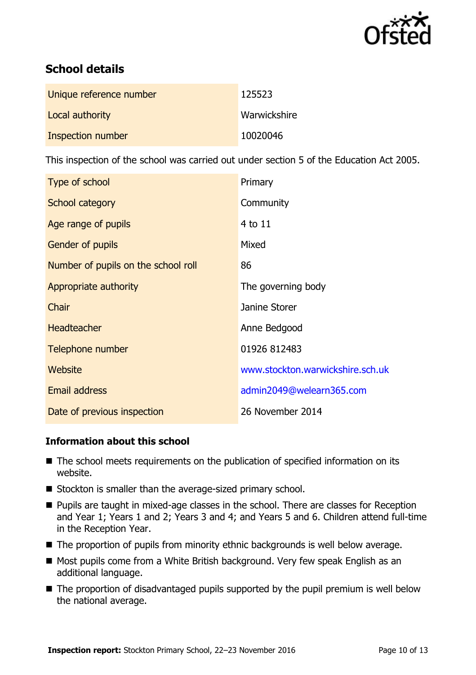

# **School details**

| Unique reference number | 125523       |
|-------------------------|--------------|
| Local authority         | Warwickshire |
| Inspection number       | 10020046     |

This inspection of the school was carried out under section 5 of the Education Act 2005.

| Type of school                      | Primary                          |
|-------------------------------------|----------------------------------|
| School category                     | Community                        |
| Age range of pupils                 | $4$ to $11$                      |
| <b>Gender of pupils</b>             | Mixed                            |
| Number of pupils on the school roll | 86                               |
| Appropriate authority               | The governing body               |
| Chair                               | Janine Storer                    |
| <b>Headteacher</b>                  | Anne Bedgood                     |
| Telephone number                    | 01926 812483                     |
| Website                             | www.stockton.warwickshire.sch.uk |
| <b>Email address</b>                | admin2049@welearn365.com         |
| Date of previous inspection         | 26 November 2014                 |

### **Information about this school**

- The school meets requirements on the publication of specified information on its website.
- Stockton is smaller than the average-sized primary school.
- **Pupils are taught in mixed-age classes in the school. There are classes for Reception** and Year 1; Years 1 and 2; Years 3 and 4; and Years 5 and 6. Children attend full-time in the Reception Year.
- The proportion of pupils from minority ethnic backgrounds is well below average.
- Most pupils come from a White British background. Very few speak English as an additional language.
- The proportion of disadvantaged pupils supported by the pupil premium is well below the national average.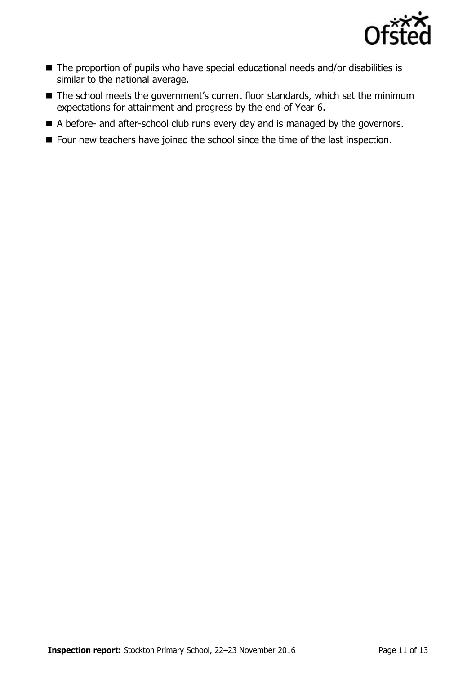

- The proportion of pupils who have special educational needs and/or disabilities is similar to the national average.
- The school meets the government's current floor standards, which set the minimum expectations for attainment and progress by the end of Year 6.
- A before- and after-school club runs every day and is managed by the governors.
- Four new teachers have joined the school since the time of the last inspection.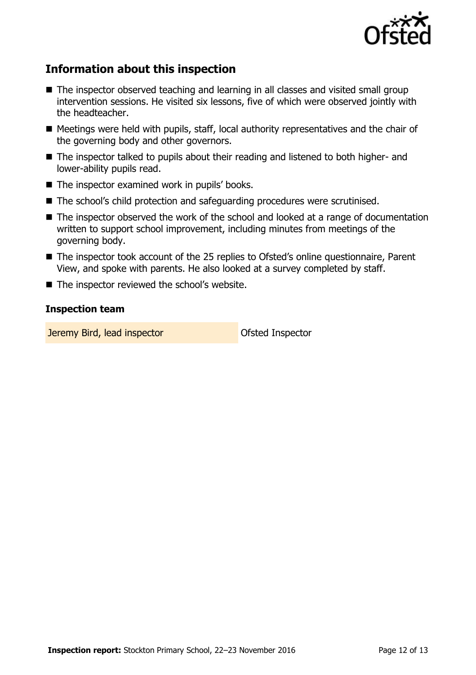

# **Information about this inspection**

- The inspector observed teaching and learning in all classes and visited small group intervention sessions. He visited six lessons, five of which were observed jointly with the headteacher.
- Meetings were held with pupils, staff, local authority representatives and the chair of the governing body and other governors.
- The inspector talked to pupils about their reading and listened to both higher- and lower-ability pupils read.
- The inspector examined work in pupils' books.
- The school's child protection and safeguarding procedures were scrutinised.
- The inspector observed the work of the school and looked at a range of documentation written to support school improvement, including minutes from meetings of the governing body.
- The inspector took account of the 25 replies to Ofsted's online questionnaire, Parent View, and spoke with parents. He also looked at a survey completed by staff.
- The inspector reviewed the school's website.

#### **Inspection team**

**Jeremy Bird, lead inspector Constanting Constanting Constanting Ofsted Inspector**